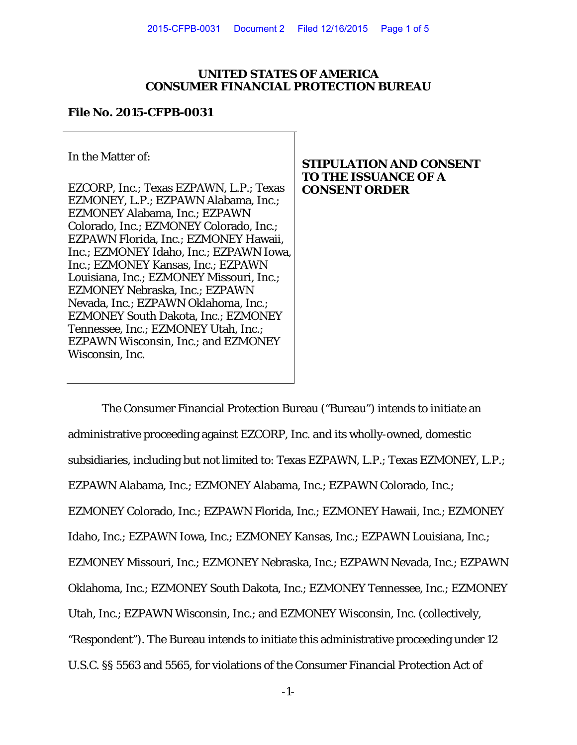## **UNITED STATES OF AMERICA CONSUMER FINANCIAL PROTECTION BUREAU**

### **File No. 2015-CFPB-0031**

In the Matter of:

EZCORP, Inc.; Texas EZPAWN, L.P.; Texas EZMONEY, L.P.; EZPAWN Alabama, Inc.; EZMONEY Alabama, Inc.; EZPAWN Colorado, Inc.; EZMONEY Colorado, Inc.; EZPAWN Florida, Inc.; EZMONEY Hawaii, Inc.; EZMONEY Idaho, Inc.; EZPAWN Iowa, Inc.; EZMONEY Kansas, Inc.; EZPAWN Louisiana, Inc.; EZMONEY Missouri, Inc.; EZMONEY Nebraska, Inc.; EZPAWN Nevada, Inc.; EZPAWN Oklahoma, Inc.; EZMONEY South Dakota, Inc.; EZMONEY Tennessee, Inc.; EZMONEY Utah, Inc.; EZPAWN Wisconsin, Inc.; and EZMONEY Wisconsin, Inc.

# **STIPULATION AND CONSENT TO THE ISSUANCE OF A CONSENT ORDER**

The Consumer Financial Protection Bureau ("Bureau") intends to initiate an administrative proceeding against EZCORP, Inc. and its wholly-owned, domestic subsidiaries, including but not limited to: Texas EZPAWN, L.P.; Texas EZMONEY, L.P.; EZPAWN Alabama, Inc.; EZMONEY Alabama, Inc.; EZPAWN Colorado, Inc.; EZMONEY Colorado, Inc.; EZPAWN Florida, Inc.; EZMONEY Hawaii, Inc.; EZMONEY Idaho, Inc.; EZPAWN Iowa, Inc.; EZMONEY Kansas, Inc.; EZPAWN Louisiana, Inc.; EZMONEY Missouri, Inc.; EZMONEY Nebraska, Inc.; EZPAWN Nevada, Inc.; EZPAWN Oklahoma, Inc.; EZMONEY South Dakota, Inc.; EZMONEY Tennessee, Inc.; EZMONEY Utah, Inc.; EZPAWN Wisconsin, Inc.; and EZMONEY Wisconsin, Inc. (collectively, "Respondent"). The Bureau intends to initiate this administrative proceeding under 12 U.S.C. §§ 5563 and 5565, for violations of the Consumer Financial Protection Act of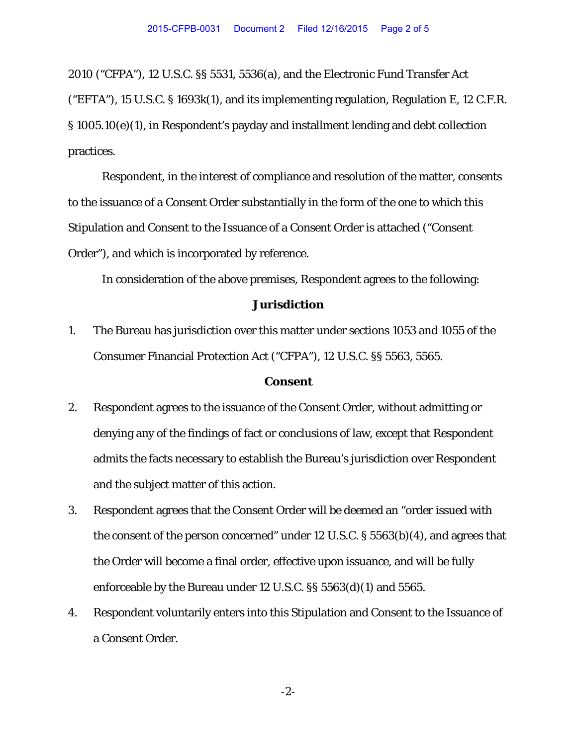2010 ("CFPA"), 12 U.S.C. §§ 5531, 5536(a), and the Electronic Fund Transfer Act ("EFTA"), 15 U.S.C. § 1693k(1), and its implementing regulation, Regulation E, 12 C.F.R. § 1005.10(e)(1), in Respondent's payday and installment lending and debt collection practices.

Respondent, in the interest of compliance and resolution of the matter, consents to the issuance of a Consent Order substantially in the form of the one to which this Stipulation and Consent to the Issuance of a Consent Order is attached ("Consent Order"), and which is incorporated by reference.

In consideration of the above premises, Respondent agrees to the following:

### **Jurisdiction**

1. The Bureau has jurisdiction over this matter under sections 1053 and 1055 of the Consumer Financial Protection Act ("CFPA"), 12 U.S.C. §§ 5563, 5565.

#### **Consent**

- 2. Respondent agrees to the issuance of the Consent Order, without admitting or denying any of the findings of fact or conclusions of law, except that Respondent admits the facts necessary to establish the Bureau's jurisdiction over Respondent and the subject matter of this action.
- 3. Respondent agrees that the Consent Order will be deemed an "order issued with the consent of the person concerned" under 12 U.S.C. § 5563(b)(4), and agrees that the Order will become a final order, effective upon issuance, and will be fully enforceable by the Bureau under 12 U.S.C. §§ 5563(d)(1) and 5565.
- 4. Respondent voluntarily enters into this Stipulation and Consent to the Issuance of a Consent Order.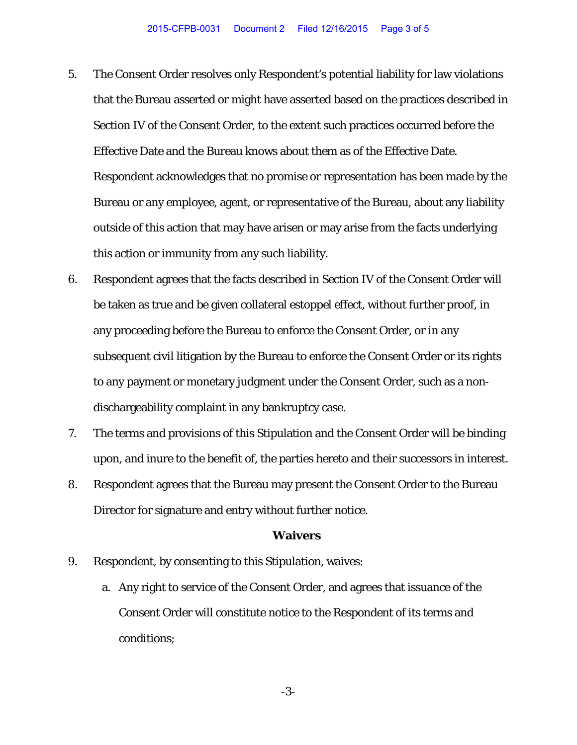- 5. The Consent Order resolves only Respondent's potential liability for law violations that the Bureau asserted or might have asserted based on the practices described in Section IV of the Consent Order, to the extent such practices occurred before the Effective Date and the Bureau knows about them as of the Effective Date. Respondent acknowledges that no promise or representation has been made by the Bureau or any employee, agent, or representative of the Bureau, about any liability outside of this action that may have arisen or may arise from the facts underlying this action or immunity from any such liability.
- 6. Respondent agrees that the facts described in Section IV of the Consent Order will be taken as true and be given collateral estoppel effect, without further proof, in any proceeding before the Bureau to enforce the Consent Order, or in any subsequent civil litigation by the Bureau to enforce the Consent Order or its rights to any payment or monetary judgment under the Consent Order, such as a nondischargeability complaint in any bankruptcy case.
- 7. The terms and provisions of this Stipulation and the Consent Order will be binding upon, and inure to the benefit of, the parties hereto and their successors in interest.
- 8. Respondent agrees that the Bureau may present the Consent Order to the Bureau Director for signature and entry without further notice.

#### **Waivers**

- 9. Respondent, by consenting to this Stipulation, waives:
	- a. Any right to service of the Consent Order, and agrees that issuance of the Consent Order will constitute notice to the Respondent of its terms and conditions;

-3-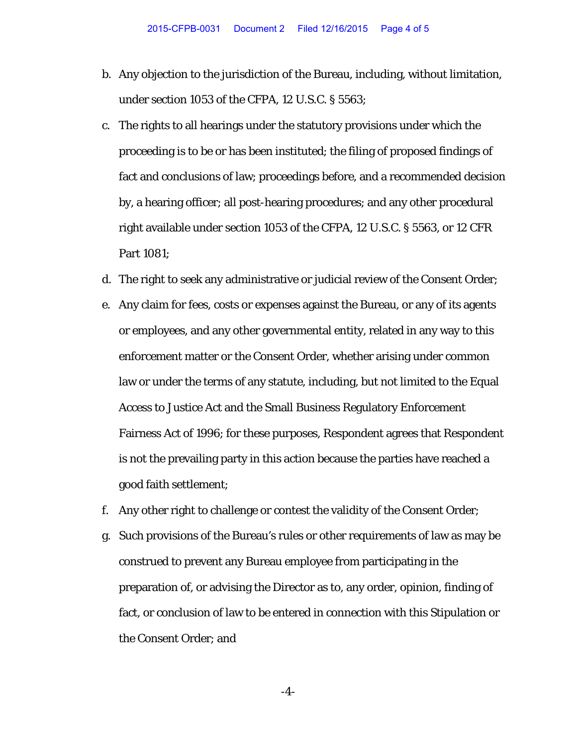- b. Any objection to the jurisdiction of the Bureau, including, without limitation, under section 1053 of the CFPA, 12 U.S.C. § 5563;
- c. The rights to all hearings under the statutory provisions under which the proceeding is to be or has been instituted; the filing of proposed findings of fact and conclusions of law; proceedings before, and a recommended decision by, a hearing officer; all post-hearing procedures; and any other procedural right available under section 1053 of the CFPA, 12 U.S.C. § 5563, or 12 CFR Part 1081;
- d. The right to seek any administrative or judicial review of the Consent Order;
- e. Any claim for fees, costs or expenses against the Bureau, or any of its agents or employees, and any other governmental entity, related in any way to this enforcement matter or the Consent Order, whether arising under common law or under the terms of any statute, including, but not limited to the Equal Access to Justice Act and the Small Business Regulatory Enforcement Fairness Act of 1996; for these purposes, Respondent agrees that Respondent is not the prevailing party in this action because the parties have reached a good faith settlement;
- f. Any other right to challenge or contest the validity of the Consent Order;
- g. Such provisions of the Bureau's rules or other requirements of law as may be construed to prevent any Bureau employee from participating in the preparation of, or advising the Director as to, any order, opinion, finding of fact, or conclusion of law to be entered in connection with this Stipulation or the Consent Order; and